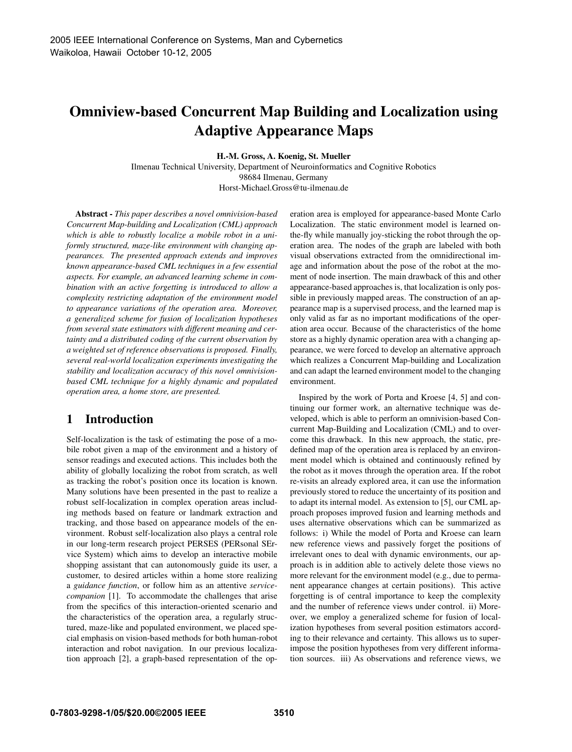# **Omniview-based Concurrent Map Building and Localization using Adaptive Appearance Maps**

**H.-M. Gross, A. Koenig, St. Mueller**

Ilmenau Technical University, Department of Neuroinformatics and Cognitive Robotics 98684 Ilmenau, Germany Horst-Michael.Gross@tu-ilmenau.de

**Abstract -** *This paper describes a novel omnivision-based Concurrent Map-building and Localization (CML) approach which is able to robustly localize a mobile robot in a uniformly structured, maze-like environment with changing appearances. The presented approach extends and improves known appearance-based CML techniques in a few essential aspects. For example, an advanced learning scheme in combination with an active forgetting is introduced to allow a complexity restricting adaptation of the environment model to appearance variations of the operation area. Moreover, a generalized scheme for fusion of localization hypotheses from several state estimators with different meaning and certainty and a distributed coding of the current observation by a weighted set of reference observations is proposed. Finally, several real-world localization experiments investigating the stability and localization accuracy of this novel omnivisionbased CML technique for a highly dynamic and populated operation area, a home store, are presented.*

## **1 Introduction**

Self-localization is the task of estimating the pose of a mobile robot given a map of the environment and a history of sensor readings and executed actions. This includes both the ability of globally localizing the robot from scratch, as well as tracking the robot's position once its location is known. Many solutions have been presented in the past to realize a robust self-localization in complex operation areas including methods based on feature or landmark extraction and tracking, and those based on appearance models of the environment. Robust self-localization also plays a central role in our long-term research project PERSES (PERsonal SErvice System) which aims to develop an interactive mobile shopping assistant that can autonomously guide its user, a customer, to desired articles within a home store realizing a *guidance function*, or follow him as an attentive *servicecompanion* [1]. To accommodate the challenges that arise from the specifics of this interaction-oriented scenario and the characteristics of the operation area, a regularly structured, maze-like and populated environment, we placed special emphasis on vision-based methods for both human-robot interaction and robot navigation. In our previous localization approach [2], a graph-based representation of the operation area is employed for appearance-based Monte Carlo Localization. The static environment model is learned onthe-fly while manually joy-sticking the robot through the operation area. The nodes of the graph are labeled with both visual observations extracted from the omnidirectional image and information about the pose of the robot at the moment of node insertion. The main drawback of this and other appearance-based approaches is, that localization is only possible in previously mapped areas. The construction of an appearance map is a supervised process, and the learned map is only valid as far as no important modifications of the operation area occur. Because of the characteristics of the home store as a highly dynamic operation area with a changing appearance, we were forced to develop an alternative approach which realizes a Concurrent Map-building and Localization and can adapt the learned environment model to the changing environment.

Inspired by the work of Porta and Kroese [4, 5] and continuing our former work, an alternative technique was developed, which is able to perform an omnivision-based Concurrent Map-Building and Localization (CML) and to overcome this drawback. In this new approach, the static, predefined map of the operation area is replaced by an environment model which is obtained and continuously refined by the robot as it moves through the operation area. If the robot re-visits an already explored area, it can use the information previously stored to reduce the uncertainty of its position and to adapt its internal model. As extension to [5], our CML approach proposes improved fusion and learning methods and uses alternative observations which can be summarized as follows: i) While the model of Porta and Kroese can learn new reference views and passively forget the positions of irrelevant ones to deal with dynamic environments, our approach is in addition able to actively delete those views no more relevant for the environment model (e.g., due to permanent appearance changes at certain positions). This active forgetting is of central importance to keep the complexity and the number of reference views under control. ii) Moreover, we employ a generalized scheme for fusion of localization hypotheses from several position estimators according to their relevance and certainty. This allows us to superimpose the position hypotheses from very different information sources. iii) As observations and reference views, we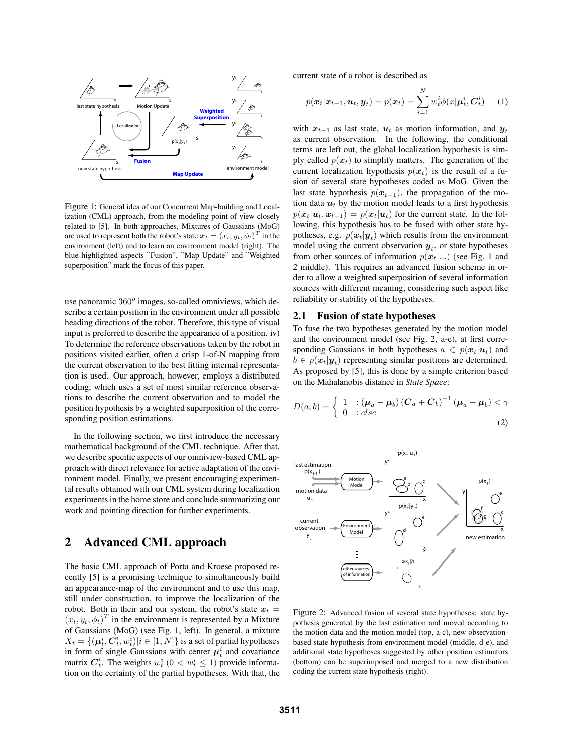

Figure 1: General idea of our Concurrent Map-building and Localization (CML) approach, from the modeling point of view closely related to [5]. In both approaches, Mixtures of Gaussians (MoG) are used to represent both the robot's state  $\boldsymbol{x}_t = (x_t, y_t, \phi_t)^T$  in the environment (left) and to learn an environment model (right). The blue highlighted aspects "Fusion", "Map Update" and "Weighted superposition" mark the focus of this paper.

use panoramic  $360^\circ$  images, so-called omniviews, which describe a certain position in the environment under all possible heading directions of the robot. Therefore, this type of visual input is preferred to describe the appearance of a position. iv) To determine the reference observations taken by the robot in positions visited earlier, often a crisp 1-of-N mapping from the current observation to the best fitting internal representation is used. Our approach, however, employs a distributed coding, which uses a set of most similar reference observations to describe the current observation and to model the position hypothesis by a weighted superposition of the corresponding position estimations.

In the following section, we first introduce the necessary mathematical background of the CML technique. After that, we describe specific aspects of our omniview-based CML approach with direct relevance for active adaptation of the environment model. Finally, we present encouraging experimental results obtained with our CML system during localization experiments in the home store and conclude summarizing our work and pointing direction for further experiments.

## **2 Advanced CML approach**

The basic CML approach of Porta and Kroese proposed recently [5] is a promising technique to simultaneously build an appearance-map of the environment and to use this map, still under construction, to improve the localization of the robot. Both in their and our system, the robot's state  $x_t =$  $(x_t, y_t, \phi_t)^T$  in the environment is represented by a Mixture of Gaussians (MoG) (see Fig. 1, left). In general, a mixture  $X_t = \{(\boldsymbol{\mu}_t^i, \boldsymbol{C}_t^i, w_t^i)|i \in [1,N]\}$  is a set of partial hypotheses in form of single Gaussians with center  $\mu_t^i$  and covariance matrix  $C_t^i$ . The weights  $w_t^i$  ( $0 < w_t^i \le 1$ ) provide information on the certainty of the partial hypotheses. With that, the current state of a robot is described as

$$
p(\boldsymbol{x}_t|\boldsymbol{x}_{t-1},\boldsymbol{u}_t,\boldsymbol{y}_t) = p(\boldsymbol{x}_t) = \sum_{i=1}^N w_t^i \phi(x|\boldsymbol{\mu}_t^i,\boldsymbol{C}_t^i)
$$
 (1)

with  $x_{t-1}$  as last state,  $u_t$  as motion information, and  $y_t$ as current observation. In the following, the conditional terms are left out, the global localization hypothesis is simply called  $p(x_t)$  to simplify matters. The generation of the current localization hypothesis  $p(x_t)$  is the result of a fusion of several state hypotheses coded as MoG. Given the last state hypothesis  $p(x_{t-1})$ , the propagation of the motion data  $u_t$  by the motion model leads to a first hypothesis  $p(x_t|\mathbf{u}_t, \mathbf{x}_{t-1}) = p(x_t|\mathbf{u}_t)$  for the current state. In the following, this hypothesis has to be fused with other state hypotheses, e.g.  $p(x_t|y_t)$  which results from the environment model using the current observation  $y_t$ , or state hypotheses from other sources of information  $p(x_t)...$  (see Fig. 1 and 2 middle). This requires an advanced fusion scheme in order to allow a weighted superposition of several information sources with different meaning, considering such aspect like reliability or stability of the hypotheses.

#### **2.1 Fusion of state hypotheses**

To fuse the two hypotheses generated by the motion model and the environment model (see Fig. 2, a-e), at first corresponding Gaussians in both hypotheses  $a \in p(x_t|\boldsymbol{u}_t)$  and  $b \in p(\mathbf{x}_t|\mathbf{y}_t)$  representing similar positions are determined. As proposed by [5], this is done by a simple criterion based on the Mahalanobis distance in *State Space*:

$$
D(a,b) = \begin{cases} 1 & \text{: } (\boldsymbol{\mu}_a - \boldsymbol{\mu}_b) \left( \boldsymbol{C}_a + \boldsymbol{C}_b \right)^{-1} (\boldsymbol{\mu}_a - \boldsymbol{\mu}_b) < \gamma \\ 0 & \text{: } else \end{cases} \tag{2}
$$



Figure 2: Advanced fusion of several state hypotheses: state hypothesis generated by the last estimation and moved according to the motion data and the motion model (top, a-c), new observationbased state hypothesis from environment model (middle, d-e), and additional state hypotheses suggested by other position estimators (bottom) can be superimposed and merged to a new distribution coding the current state hypothesis (right).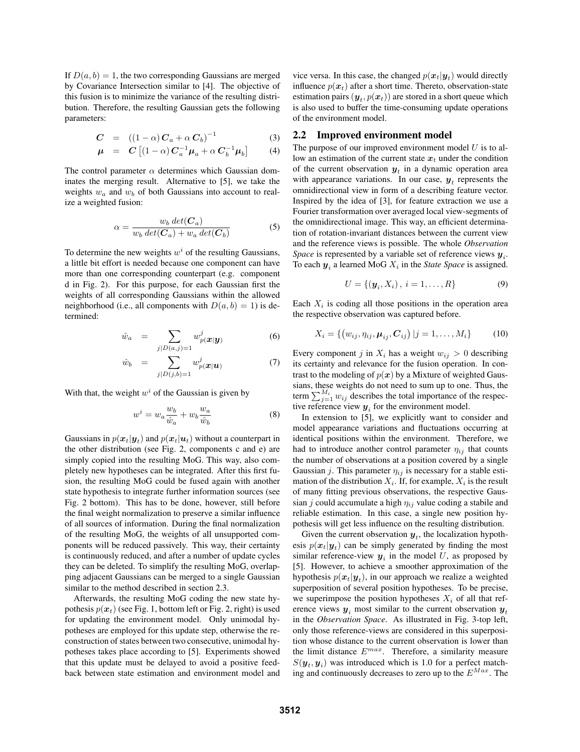If  $D(a, b) = 1$ , the two corresponding Gaussians are merged by Covariance Intersection similar to [4]. The objective of this fusion is to minimize the variance of the resulting distribution. Therefore, the resulting Gaussian gets the following parameters:

$$
C = ((1 - \alpha) C_a + \alpha C_b)^{-1}
$$
 (3)

$$
\mu = C \left[ (1 - \alpha) C_a^{-1} \mu_a + \alpha C_b^{-1} \mu_b \right] \tag{4}
$$

The control parameter  $\alpha$  determines which Gaussian dominates the merging result. Alternative to [5], we take the weights  $w_a$  and  $w_b$  of both Gaussians into account to realize a weighted fusion:

$$
\alpha = \frac{w_b \, det(\mathbf{C}_a)}{w_b \, det(\mathbf{C}_a) + w_a \, det(\mathbf{C}_b)}
$$
(5)

To determine the new weights  $w<sup>i</sup>$  of the resulting Gaussians, a little bit effort is needed because one component can have more than one corresponding counterpart (e.g. component d in Fig. 2). For this purpose, for each Gaussian first the weights of all corresponding Gaussians within the allowed neighborhood (i.e., all components with  $D(a, b) = 1$ ) is determined:

$$
\hat{w}_a = \sum_{j|D(a,j)=1} w_{p}^j(x|y) \tag{6}
$$

$$
\hat{w}_b = \sum_{j|D(j,b)=1} w_{p(\boldsymbol{x}|\boldsymbol{u})}^j \tag{7}
$$

With that, the weight  $w<sup>i</sup>$  of the Gaussian is given by

$$
w^i = w_a \frac{w_b}{\hat{w}_a} + w_b \frac{w_a}{\hat{w}_b} \tag{8}
$$

Gaussians in  $p(x_t|\mathbf{y}_t)$  and  $p(x_t|\mathbf{u}_t)$  without a counterpart in the other distribution (see Fig. 2, components c and e) are simply copied into the resulting MoG. This way, also completely new hypotheses can be integrated. After this first fusion, the resulting MoG could be fused again with another state hypothesis to integrate further information sources (see Fig. 2 bottom). This has to be done, however, still before the final weight normalization to preserve a similar influence of all sources of information. During the final normalization of the resulting MoG, the weights of all unsupported components will be reduced passively. This way, their certainty is continuously reduced, and after a number of update cycles they can be deleted. To simplify the resulting MoG, overlapping adjacent Gaussians can be merged to a single Gaussian similar to the method described in section 2.3.

Afterwards, the resulting MoG coding the new state hypothesis  $p(x_t)$  (see Fig. 1, bottom left or Fig. 2, right) is used for updating the environment model. Only unimodal hypotheses are employed for this update step, otherwise the reconstruction of states between two consecutive, unimodal hypotheses takes place according to [5]. Experiments showed that this update must be delayed to avoid a positive feedback between state estimation and environment model and vice versa. In this case, the changed  $p(x_t|\mathbf{y}_t)$  would directly influence  $p(x_t)$  after a short time. Thereto, observation-state estimation pairs  $(\mathbf{y}_t, p(\mathbf{x}_t))$  are stored in a short queue which is also used to buffer the time-consuming update operations of the environment model.

#### **2.2 Improved environment model**

The purpose of our improved environment model  $U$  is to allow an estimation of the current state  $x_t$  under the condition of the current observation  $y_t$  in a dynamic operation area with appearance variations. In our case,  $y_t$  represents the omnidirectional view in form of a describing feature vector. Inspired by the idea of [3], for feature extraction we use a Fourier transformation over averaged local view-segments of the omnidirectional image. This way, an efficient determination of rotation-invariant distances between the current view and the reference views is possible. The whole *Observation Space* is represented by a variable set of reference views  $y_i$ . To each  $y_i$  a learned MoG  $X_i$  in the *State Space* is assigned.

$$
U = \{(\bm{y}_i, X_i), i = 1, ..., R\}
$$
 (9)

Each  $X_i$  is coding all those positions in the operation area the respective observation was captured before.

$$
X_i = \{ (w_{ij}, \eta_{ij}, \mu_{ij}, C_{ij}) | j = 1, ..., M_i \}
$$
 (10)

Every component j in  $X_i$  has a weight  $w_{ij} > 0$  describing its certainty and relevance for the fusion operation. In contrast to the modeling of  $p(x)$  by a Mixture of weighted Gaussians, these weights do not need to sum up to one. Thus, the term  $\sum_{j=1}^{M_i} w_{ij}$  describes the total importance of the respective reference view  $y_i$  for the environment model.

In extension to [5], we explicitly want to consider and model appearance variations and fluctuations occurring at identical positions within the environment. Therefore, we had to introduce another control parameter  $\eta_{ij}$  that counts the number of observations at a position covered by a single Gaussian j. This parameter  $\eta_{ij}$  is necessary for a stable estimation of the distribution  $X_i$ . If, for example,  $X_i$  is the result of many fitting previous observations, the respective Gaussian j could accumulate a high  $\eta_{ij}$  value coding a stabile and reliable estimation. In this case, a single new position hypothesis will get less influence on the resulting distribution.

Given the current observation  $y_t$ , the localization hypothesis  $p(x_t|\mathbf{y}_t)$  can be simply generated by finding the most similar reference-view  $y_i$  in the model U, as proposed by [5]. However, to achieve a smoother approximation of the hypothesis  $p(x_t|\mathbf{y}_t)$ , in our approach we realize a weighted superposition of several position hypotheses. To be precise, we superimpose the position hypotheses  $X_i$  of all that reference views  $y_i$  most similar to the current observation  $y_t$ in the *Observation Space*. As illustrated in Fig. 3-top left, only those reference-views are considered in this superposition whose distance to the current observation is lower than the limit distance  $E^{max}$ . Therefore, a similarity measure  $S(\mathbf{y}_t, \mathbf{y}_i)$  was introduced which is 1.0 for a perfect matching and continuously decreases to zero up to the  $E^{Max}$ . The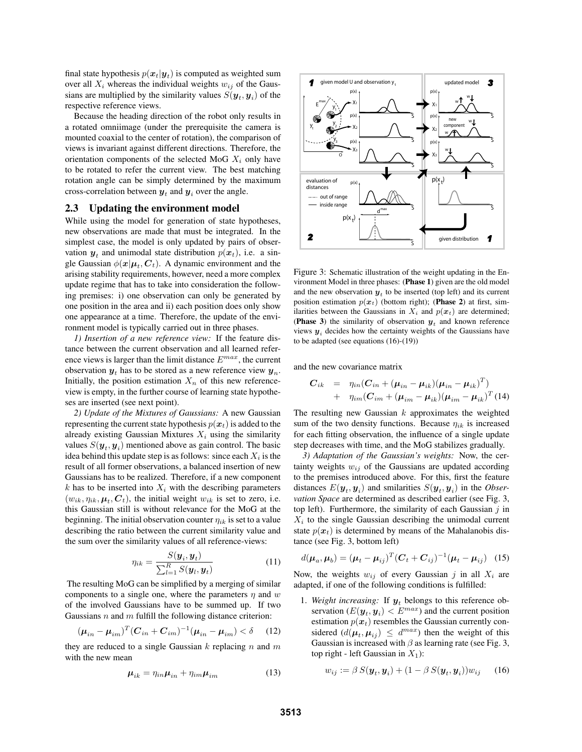final state hypothesis  $p(x_t|\mathbf{y}_t)$  is computed as weighted sum over all  $X_i$  whereas the individual weights  $w_{ij}$  of the Gaussians are multiplied by the similarity values  $S(\mathbf{y}_t, \mathbf{y}_i)$  of the respective reference views.

Because the heading direction of the robot only results in a rotated omniimage (under the prerequisite the camera is mounted coaxial to the center of rotation), the comparison of views is invariant against different directions. Therefore, the orientation components of the selected MoG  $X_i$  only have to be rotated to refer the current view. The best matching rotation angle can be simply determined by the maximum cross-correlation between  $y_t$  and  $y_i$  over the angle.

#### **2.3 Updating the environment model**

While using the model for generation of state hypotheses, new observations are made that must be integrated. In the simplest case, the model is only updated by pairs of observation  $y_t$  and unimodal state distribution  $p(x_t)$ , i.e. a single Gaussian  $\phi(\mathbf{x}|\boldsymbol{\mu}_t, \boldsymbol{C}_t)$ . A dynamic environment and the arising stability requirements, however, need a more complex update regime that has to take into consideration the following premises: i) one observation can only be generated by one position in the area and ii) each position does only show one appearance at a time. Therefore, the update of the environment model is typically carried out in three phases.

*1) Insertion of a new reference view:* If the feature distance between the current observation and all learned reference views is larger than the limit distance  $E^{max}$ , the current observation  $y_t$  has to be stored as a new reference view  $y_n$ . Initially, the position estimation  $X_n$  of this new referenceview is empty, in the further course of learning state hypotheses are inserted (see next point).

*2) Update of the Mixtures of Gaussians:* A new Gaussian representing the current state hypothesis  $p(x_t)$  is added to the already existing Gaussian Mixtures  $X_i$  using the similarity values  $S(\mathbf{y}_t, \mathbf{y}_i)$  mentioned above as gain control. The basic idea behind this update step is as follows: since each  $X_i$  is the result of all former observations, a balanced insertion of new Gaussians has to be realized. Therefore, if a new component  $k$  has to be inserted into  $X_i$  with the describing parameters  $(w_{ik}, \eta_{ik}, \mu_t, C_t)$ , the initial weight  $w_{ik}$  is set to zero, i.e. this Gaussian still is without relevance for the MoG at the beginning. The initial observation counter  $\eta_{ik}$  is set to a value describing the ratio between the current similarity value and the sum over the similarity values of all reference-views:

$$
\eta_{ik} = \frac{S(\boldsymbol{y}_i, \boldsymbol{y}_t)}{\sum_{l=1}^R S(\boldsymbol{y}_l, \boldsymbol{y}_t)}\tag{11}
$$

The resulting MoG can be simplified by a merging of similar components to a single one, where the parameters  $\eta$  and w of the involved Gaussians have to be summed up. If two Gaussians  $n$  and  $m$  fulfill the following distance criterion:

$$
(\boldsymbol{\mu}_{in} - \boldsymbol{\mu}_{im})^T (\boldsymbol{C}_{in} + \boldsymbol{C}_{im})^{-1} (\boldsymbol{\mu}_{in} - \boldsymbol{\mu}_{im}) < \delta \quad (12)
$$

they are reduced to a single Gaussian  $k$  replacing  $n$  and  $m$ with the new mean

$$
\mu_{ik} = \eta_{in} \mu_{in} + \eta_{im} \mu_{im} \tag{13}
$$



Figure 3: Schematic illustration of the weight updating in the Environment Model in three phases: (**Phase 1**) given are the old model and the new observation  $y_t$  to be inserted (top left) and its current position estimation  $p(x_t)$  (bottom right); (Phase 2) at first, similarities between the Gaussians in  $X_i$  and  $p(x_t)$  are determined; (**Phase 3**) the similarity of observation  $y_t$  and known reference views  $y_i$  decides how the certainty weights of the Gaussians have to be adapted (see equations (16)-(19))

and the new covariance matrix

$$
C_{ik} = \eta_{in} (C_{in} + (\mu_{in} - \mu_{ik})(\mu_{in} - \mu_{ik})^T)
$$
  
+ 
$$
\eta_{im} (C_{im} + (\mu_{im} - \mu_{ik})(\mu_{im} - \mu_{ik})^T)
$$
(14)

The resulting new Gaussian  $k$  approximates the weighted sum of the two density functions. Because  $\eta_{ik}$  is increased for each fitting observation, the influence of a single update step decreases with time, and the MoG stabilizes gradually.

*3) Adaptation of the Gaussian's weights:* Now, the certainty weights  $w_{ij}$  of the Gaussians are updated according to the premises introduced above. For this, first the feature distances  $E(\mathbf{y}_t, \mathbf{y}_i)$  and smilarities  $S(\mathbf{y}_t, \mathbf{y}_i)$  in the *Observation Space* are determined as described earlier (see Fig. 3, top left). Furthermore, the similarity of each Gaussian  $j$  in  $X_i$  to the single Gaussian describing the unimodal current state  $p(x_t)$  is determined by means of the Mahalanobis distance (see Fig. 3, bottom left)

$$
d(\boldsymbol{\mu}_a, \boldsymbol{\mu}_b) = (\boldsymbol{\mu}_t - \boldsymbol{\mu}_{ij})^T (\boldsymbol{C}_t + \boldsymbol{C}_{ij})^{-1} (\boldsymbol{\mu}_t - \boldsymbol{\mu}_{ij})
$$
 (15)

Now, the weights  $w_{ij}$  of every Gaussian j in all  $X_i$  are adapted, if one of the following conditions is fulfilled:

1. *Weight increasing:* If  $y_t$  belongs to this reference observation  $(E(\mathbf{y}_t, \mathbf{y}_i) < E^{max})$  and the current position estimation  $p(x_t)$  resembles the Gaussian currently considered  $(d(\mu_t, \mu_{ij}) \leq d^{max})$  then the weight of this Gaussian is increased with  $\beta$  as learning rate (see Fig. 3, top right - left Gaussian in  $X_1$ :

$$
w_{ij} := \beta S(\boldsymbol{y}_t, \boldsymbol{y}_i) + (1 - \beta S(\boldsymbol{y}_t, \boldsymbol{y}_i))w_{ij} \qquad (16)
$$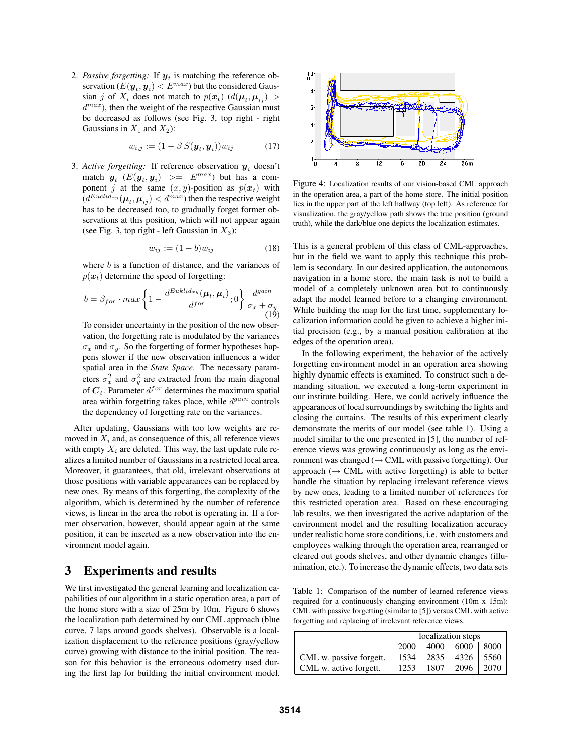2. *Passive forgetting:* If  $y_t$  is matching the reference observation  $(E(\mathbf{y}_t, \mathbf{y}_i) < E^{max})$  but the considered Gaussian j of  $X_i$  does not match to  $p(x_t)$  ( $d(\mu_t, \mu_{ii})$ )  $d^{max}$ ), then the weight of the respective Gaussian must be decreased as follows (see Fig. 3, top right - right Gaussians in  $X_1$  and  $X_2$ ):

$$
w_{i,j} := (1 - \beta S(\boldsymbol{y}_t, \boldsymbol{y}_i)) w_{ij} \tag{17}
$$

3. Active forgetting: If reference observation  $y_i$  doesn't match  $y_t$  ( $E(y_t, y_i)$  >=  $E^{max}$ ) but has a component j at the same  $(x, y)$ -position as  $p(x_t)$  with  $(d^{Euclid_{xy}}(\mu_t, \mu_{ij}) < d^{max})$  then the respective weight has to be decreased too, to gradually forget former observations at this position, which will not appear again (see Fig. 3, top right - left Gaussian in  $X_3$ ):

$$
w_{ij} := (1 - b)w_{ij} \tag{18}
$$

where  $b$  is a function of distance, and the variances of  $p(x_t)$  determine the speed of forgetting:

$$
b = \beta_{for} \cdot max \left\{ 1 - \frac{d^{Euklid_{xy}}(\mu_t, \mu_i)}{d^{for}}; 0 \right\} \frac{d^{gain}}{\sigma_x + \sigma_y}
$$
\n(19)

To consider uncertainty in the position of the new observation, the forgetting rate is modulated by the variances  $\sigma_x$  and  $\sigma_y$ . So the forgetting of former hypotheses happens slower if the new observation influences a wider spatial area in the *State Space*. The necessary parameters  $\sigma_x^2$  and  $\sigma_y^2$  are extracted from the main diagonal of  $C_t$ . Parameter  $d^{for}$  determines the maximum spatial area within forgetting takes place, while  $d<sup>gain</sup>$  controls the dependency of forgetting rate on the variances.

After updating, Gaussians with too low weights are removed in  $X_i$  and, as consequence of this, all reference views with empty  $X_i$  are deleted. This way, the last update rule realizes a limited number of Gaussians in a restricted local area. Moreover, it guarantees, that old, irrelevant observations at those positions with variable appearances can be replaced by new ones. By means of this forgetting, the complexity of the algorithm, which is determined by the number of reference views, is linear in the area the robot is operating in. If a former observation, however, should appear again at the same position, it can be inserted as a new observation into the environment model again.

## **3 Experiments and results**

We first investigated the general learning and localization capabilities of our algorithm in a static operation area, a part of the home store with a size of 25m by 10m. Figure 6 shows the localization path determined by our CML approach (blue curve, 7 laps around goods shelves). Observable is a localization displacement to the reference positions (gray/yellow curve) growing with distance to the initial position. The reason for this behavior is the erroneous odometry used during the first lap for building the initial environment model.



Figure 4: Localization results of our vision-based CML approach in the operation area, a part of the home store. The initial position lies in the upper part of the left hallway (top left). As reference for visualization, the gray/yellow path shows the true position (ground truth), while the dark/blue one depicts the localization estimates.

This is a general problem of this class of CML-approaches, but in the field we want to apply this technique this problem is secondary. In our desired application, the autonomous navigation in a home store, the main task is not to build a model of a completely unknown area but to continuously adapt the model learned before to a changing environment. While building the map for the first time, supplementary localization information could be given to achieve a higher initial precision (e.g., by a manual position calibration at the edges of the operation area).

In the following experiment, the behavior of the actively forgetting environment model in an operation area showing highly dynamic effects is examined. To construct such a demanding situation, we executed a long-term experiment in our institute building. Here, we could actively influence the appearances of local surroundings by switching the lights and closing the curtains. The results of this experiment clearly demonstrate the merits of our model (see table 1). Using a model similar to the one presented in [5], the number of reference views was growing continuously as long as the environment was changed ( $\rightarrow$  CML with passive forgetting). Our approach  $(\rightarrow$  CML with active forgetting) is able to better handle the situation by replacing irrelevant reference views by new ones, leading to a limited number of references for this restricted operation area. Based on these encouraging lab results, we then investigated the active adaptation of the environment model and the resulting localization accuracy under realistic home store conditions, i.e. with customers and employees walking through the operation area, rearranged or cleared out goods shelves, and other dynamic changes (illumination, etc.). To increase the dynamic effects, two data sets

Table 1: Comparison of the number of learned reference views required for a continuously changing environment (10m x 15m): CML with passive forgetting (similar to [5]) versus CML with active forgetting and replacing of irrelevant reference views.

|                         | localization steps |      |      |      |
|-------------------------|--------------------|------|------|------|
|                         | 2000               | 4000 | 6000 | 8000 |
| CML w. passive forgett. | 1534               | 2835 | 4326 | 5560 |
| CML w. active forgett.  | 1253               | 1807 | 2096 | 2070 |